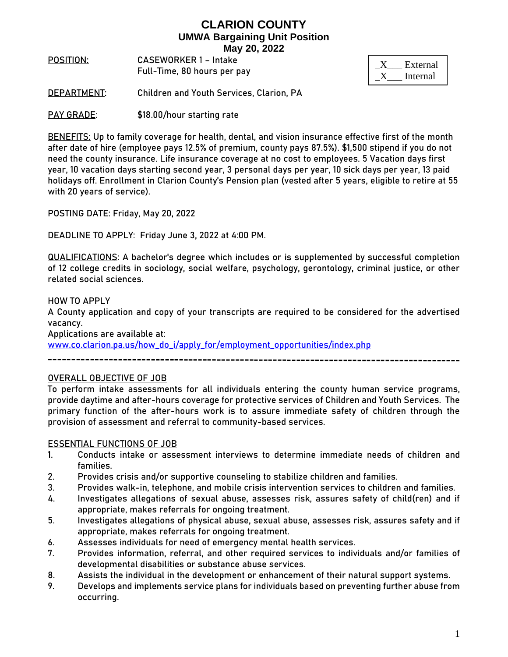**POSITION**: **CASEWORKER 1 – Intake**  Full-Time, 80 hours per pay

| External |
|----------|
| Internal |

**DEPARTMENT**: Children and Youth Services, Clarion, PA

**PAY GRADE:** \$18.00/hour starting rate

**BENEFITS:** Up to family coverage for health, dental, and vision insurance effective first of the month after date of hire (employee pays 12.5% of premium, county pays 87.5%). \$1,500 stipend if you do not need the county insurance. Life insurance coverage at no cost to employees. 5 Vacation days first year, 10 vacation days starting second year, 3 personal days per year, 10 sick days per year, 13 paid holidays off. Enrollment in Clarion County's Pension plan (vested after 5 years, eligible to retire at 55 with 20 years of service).

**POSTING DATE:** Friday, May 20, 2022

**DEADLINE TO APPLY:** Friday June 3, 2022 at 4:00 PM.

**QUALIFICATIONS:** A bachelor's degree which includes or is supplemented by successful completion of 12 college credits in sociology, social welfare, psychology, gerontology, criminal justice, or other related social sciences.

#### **HOW TO APPLY**

A County application and copy of your transcripts are required to be considered for the advertised vacancy.

Applications are available at:

[www.co.clarion.pa.us/how\\_do\\_i/apply\\_for/employment\\_opportunities/index.php](http://www.co.clarion.pa.us/how_do_i/apply_for/employment_opportunities/index.php)

#### **OVERALL OBJECTIVE OF JOB**

To perform intake assessments for all individuals entering the county human service programs, provide daytime and after-hours coverage for protective services of Children and Youth Services. The primary function of the after-hours work is to assure immediate safety of children through the provision of assessment and referral to community-based services.

#### **ESSENTIAL FUNCTIONS OF JOB**

- 1. Conducts intake or assessment interviews to determine immediate needs of children and families.
- 2. Provides crisis and/or supportive counseling to stabilize children and families.
- 3. Provides walk-in, telephone, and mobile crisis intervention services to children and families.
- 4. Investigates allegations of sexual abuse, assesses risk, assures safety of child(ren) and if appropriate, makes referrals for ongoing treatment.
- 5. Investigates allegations of physical abuse, sexual abuse, assesses risk, assures safety and if appropriate, makes referrals for ongoing treatment.
- 6. Assesses individuals for need of emergency mental health services.
- 7. Provides information, referral, and other required services to individuals and/or families of developmental disabilities or substance abuse services.
- 8. Assists the individual in the development or enhancement of their natural support systems.
- 9. Develops and implements service plans for individuals based on preventing further abuse from occurring.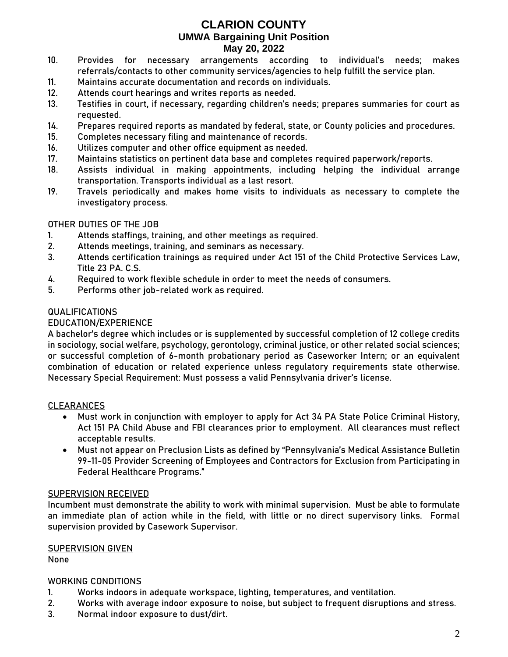- 10. Provides for necessary arrangements according to individual's needs; makes referrals/contacts to other community services/agencies to help fulfill the service plan.
- 11. Maintains accurate documentation and records on individuals.
- 12. Attends court hearings and writes reports as needed.
- 13. Testifies in court, if necessary, regarding children's needs; prepares summaries for court as requested.
- 14. Prepares required reports as mandated by federal, state, or County policies and procedures.
- 15. Completes necessary filing and maintenance of records.
- 16. Utilizes computer and other office equipment as needed.
- 17. Maintains statistics on pertinent data base and completes required paperwork/reports.
- 18. Assists individual in making appointments, including helping the individual arrange transportation. Transports individual as a last resort.
- 19. Travels periodically and makes home visits to individuals as necessary to complete the investigatory process.

### **OTHER DUTIES OF THE JOB**

- 1. Attends staffings, training, and other meetings as required.
- 2. Attends meetings, training, and seminars as necessary.
- 3. Attends certification trainings as required under Act 151 of the Child Protective Services Law, Title 23 PA. C.S.
- 4. Required to work flexible schedule in order to meet the needs of consumers.
- 5. Performs other job-related work as required.

### **QUALIFICATIONS**

### EDUCATION/EXPERIENCE

A bachelor's degree which includes or is supplemented by successful completion of 12 college credits in sociology, social welfare, psychology, gerontology, criminal justice, or other related social sciences; **or** successful completion of 6-month probationary period as Caseworker Intern; **or** an equivalent combination of education or related experience unless regulatory requirements state otherwise. Necessary Special Requirement: Must possess a valid Pennsylvania driver's license.

### **CLEARANCES**

- Must work in conjunction with employer to apply for Act 34 PA State Police Criminal History, Act 151 PA Child Abuse and FBI clearances prior to employment. All clearances must reflect acceptable results.
- Must not appear on Preclusion Lists as defined by "Pennsylvania's Medical Assistance Bulletin 99-11-05 Provider Screening of Employees and Contractors for Exclusion from Participating in Federal Healthcare Programs."

### **SUPERVISION RECEIVED**

Incumbent must demonstrate the ability to work with minimal supervision. Must be able to formulate an immediate plan of action while in the field, with little or no direct supervisory links. Formal supervision provided by Casework Supervisor.

### **SUPERVISION GIVEN**

None

### **WORKING CONDITIONS**

- 1. Works indoors in adequate workspace, lighting, temperatures, and ventilation.
- 2. Works with average indoor exposure to noise, but subject to frequent disruptions and stress.
- 3. Normal indoor exposure to dust/dirt.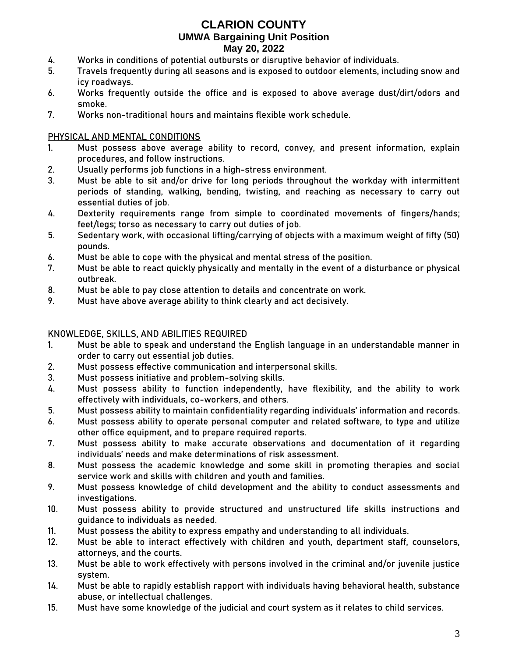- 4. Works in conditions of potential outbursts or disruptive behavior of individuals.
- 5. Travels frequently during all seasons and is exposed to outdoor elements, including snow and icy roadways.
- 6. Works frequently outside the office and is exposed to above average dust/dirt/odors and smoke.
- 7. Works non-traditional hours and maintains flexible work schedule.

### **PHYSICAL AND MENTAL CONDITIONS**

- 1. Must possess above average ability to record, convey, and present information, explain procedures, and follow instructions.
- 2. Usually performs job functions in a high-stress environment.
- 3. Must be able to sit and/or drive for long periods throughout the workday with intermittent periods of standing, walking, bending, twisting, and reaching as necessary to carry out essential duties of job.
- 4. Dexterity requirements range from simple to coordinated movements of fingers/hands; feet/legs; torso as necessary to carry out duties of job.
- 5. Sedentary work, with occasional lifting/carrying of objects with a maximum weight of fifty (50) pounds.
- 6. Must be able to cope with the physical and mental stress of the position.
- 7. Must be able to react quickly physically and mentally in the event of a disturbance or physical outbreak.
- 8. Must be able to pay close attention to details and concentrate on work.
- 9. Must have above average ability to think clearly and act decisively.

### **KNOWLEDGE, SKILLS, AND ABILITIES REQUIRED**

- 1. Must be able to speak and understand the English language in an understandable manner in order to carry out essential job duties.
- 2. Must possess effective communication and interpersonal skills.
- 3. Must possess initiative and problem-solving skills.
- 4. Must possess ability to function independently, have flexibility, and the ability to work effectively with individuals, co-workers, and others.
- 5. Must possess ability to maintain confidentiality regarding individuals' information and records.
- 6. Must possess ability to operate personal computer and related software, to type and utilize other office equipment, and to prepare required reports.
- 7. Must possess ability to make accurate observations and documentation of it regarding individuals' needs and make determinations of risk assessment.
- 8. Must possess the academic knowledge and some skill in promoting therapies and social service work and skills with children and youth and families.
- 9. Must possess knowledge of child development and the ability to conduct assessments and investigations.
- 10. Must possess ability to provide structured and unstructured life skills instructions and guidance to individuals as needed.
- 11. Must possess the ability to express empathy and understanding to all individuals.
- 12. Must be able to interact effectively with children and youth, department staff, counselors, attorneys, and the courts.
- 13. Must be able to work effectively with persons involved in the criminal and/or juvenile justice system.
- 14. Must be able to rapidly establish rapport with individuals having behavioral health, substance abuse, or intellectual challenges.
- 15. Must have some knowledge of the judicial and court system as it relates to child services.